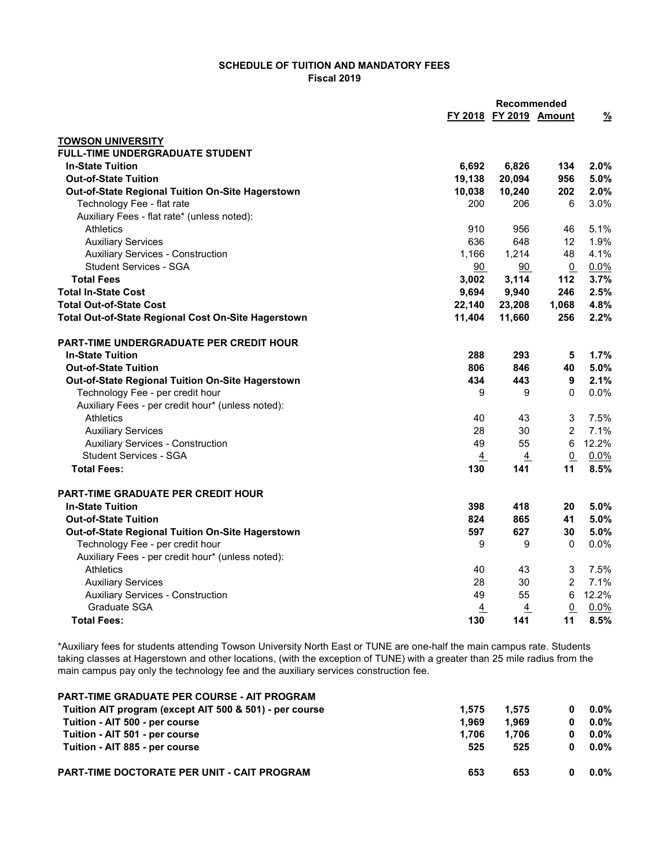## SCHEDULE OF TUITION AND MANDATORY FEES Fiscal 2019

|                                                     | <b>Recommended</b> |                        |                 |               |
|-----------------------------------------------------|--------------------|------------------------|-----------------|---------------|
|                                                     |                    | FY 2018 FY 2019 Amount |                 | $\frac{9}{6}$ |
| <b>TOWSON UNIVERSITY</b>                            |                    |                        |                 |               |
| <b>FULL-TIME UNDERGRADUATE STUDENT</b>              |                    |                        |                 |               |
| <b>In-State Tuition</b>                             | 6,692              | 6,826                  | 134             | 2.0%          |
| <b>Out-of-State Tuition</b>                         | 19,138             | 20,094                 | 956             | 5.0%          |
| Out-of-State Regional Tuition On-Site Hagerstown    | 10,038             | 10,240                 | 202             | 2.0%          |
| Technology Fee - flat rate                          | 200                | 206                    | 6               | 3.0%          |
| Auxiliary Fees - flat rate* (unless noted):         |                    |                        |                 |               |
| Athletics                                           | 910                | 956                    | 46              | 5.1%          |
| <b>Auxiliary Services</b>                           | 636                | 648                    | 12              | 1.9%          |
| <b>Auxiliary Services - Construction</b>            | 1,166              | 1,214                  | 48              | 4.1%          |
| <b>Student Services - SGA</b>                       | 90                 | 90                     | $\Omega$        | 0.0%          |
| <b>Total Fees</b>                                   | 3,002              | 3,114                  | 112             | 3.7%          |
| <b>Total In-State Cost</b>                          | 9,694              | 9,940                  | 246             | 2.5%          |
| <b>Total Out-of-State Cost</b>                      | 22,140             | 23,208                 | 1,068           | 4.8%          |
| Total Out-of-State Regional Cost On-Site Hagerstown | 11,404             | 11,660                 | 256             | 2.2%          |
| <b>PART-TIME UNDERGRADUATE PER CREDIT HOUR</b>      |                    |                        |                 |               |
| <b>In-State Tuition</b>                             | 288                | 293                    | 5               | 1.7%          |
| <b>Out-of-State Tuition</b>                         | 806                | 846                    | 40              | 5.0%          |
| Out-of-State Regional Tuition On-Site Hagerstown    | 434                | 443                    | 9               | 2.1%          |
| Technology Fee - per credit hour                    | 9                  | 9                      | $\Omega$        | 0.0%          |
| Auxiliary Fees - per credit hour* (unless noted):   |                    |                        |                 |               |
| Athletics                                           | 40                 | 43                     | 3               | 7.5%          |
| <b>Auxiliary Services</b>                           | 28                 | 30                     | $\overline{2}$  | 7.1%          |
| <b>Auxiliary Services - Construction</b>            | 49                 | 55                     | 6               | 12.2%         |
| <b>Student Services - SGA</b>                       | $\overline{4}$     | $\overline{4}$         | $\underline{0}$ | 0.0%          |
| <b>Total Fees:</b>                                  | 130                | 141                    | 11              | 8.5%          |
| PART-TIME GRADUATE PER CREDIT HOUR                  |                    |                        |                 |               |
| <b>In-State Tuition</b>                             | 398                | 418                    | 20              | 5.0%          |
| <b>Out-of-State Tuition</b>                         | 824                | 865                    | 41              | 5.0%          |
| Out-of-State Regional Tuition On-Site Hagerstown    | 597                | 627                    | 30              | 5.0%          |
| Technology Fee - per credit hour                    | 9                  | 9                      | $\mathbf{0}$    | $0.0\%$       |
| Auxiliary Fees - per credit hour* (unless noted):   |                    |                        |                 |               |
| <b>Athletics</b>                                    | 40                 | 43                     | 3               | 7.5%          |
| <b>Auxiliary Services</b>                           | 28                 | 30                     | $\overline{2}$  | 7.1%          |
| <b>Auxiliary Services - Construction</b>            | 49                 | 55                     | 6               | 12.2%         |
| Graduate SGA                                        | 4                  | 4                      | $\overline{0}$  | 0.0%          |
| <b>Total Fees:</b>                                  | 130                | 141                    | 11              | 8.5%          |

\*Auxiliary fees for students attending Towson University North East or TUNE are one-half the main campus rate. Students taking classes at Hagerstown and other locations, (with the exception of TUNE) with a greater than 25 mile radius from the main campus pay only the technology fee and the auxiliary services construction fee.

| <b>PART-TIME GRADUATE PER COURSE - AIT PROGRAM</b>      |       |       |         |
|---------------------------------------------------------|-------|-------|---------|
| Tuition AIT program (except AIT 500 & 501) - per course | 1.575 | 1.575 | $0.0\%$ |
| Tuition - AIT 500 - per course                          | 1.969 | 1.969 | $0.0\%$ |
| Tuition - AIT 501 - per course                          | 1.706 | 1.706 | $0.0\%$ |
| Tuition - AIT 885 - per course                          | 525   | 525   | $0.0\%$ |
| <b>PART-TIME DOCTORATE PER UNIT - CAIT PROGRAM</b>      | 653   | 653   | $0.0\%$ |